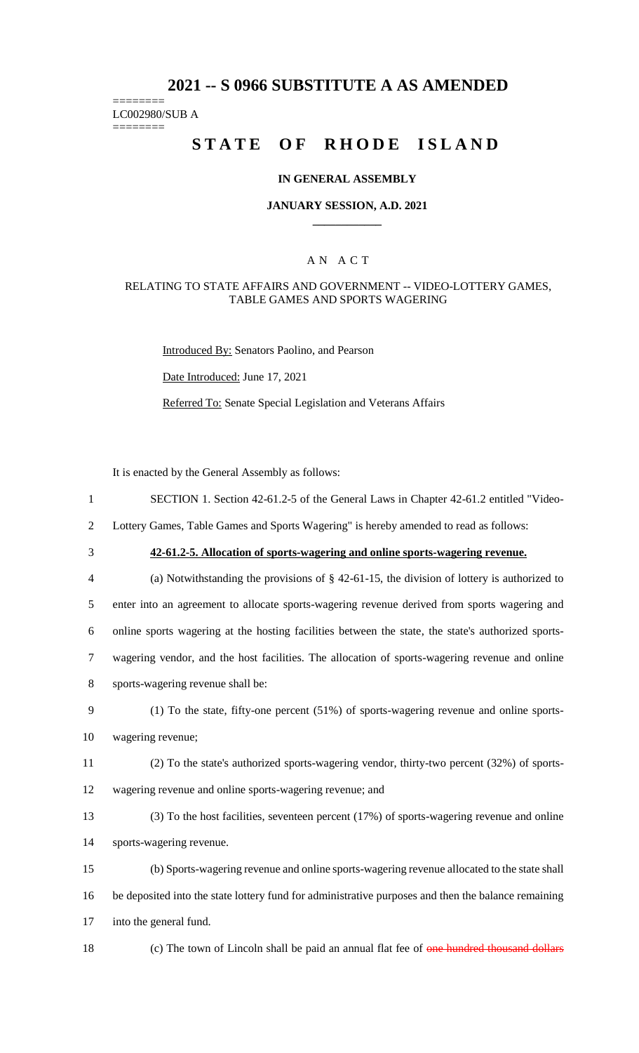# **2021 -- S 0966 SUBSTITUTE A AS AMENDED**

======== LC002980/SUB A

========

# **STATE OF RHODE ISLAND**

### **IN GENERAL ASSEMBLY**

#### **JANUARY SESSION, A.D. 2021 \_\_\_\_\_\_\_\_\_\_\_\_**

### A N A C T

#### RELATING TO STATE AFFAIRS AND GOVERNMENT -- VIDEO-LOTTERY GAMES, TABLE GAMES AND SPORTS WAGERING

Introduced By: Senators Paolino, and Pearson

Date Introduced: June 17, 2021

Referred To: Senate Special Legislation and Veterans Affairs

It is enacted by the General Assembly as follows:

1 SECTION 1. Section 42-61.2-5 of the General Laws in Chapter 42-61.2 entitled "Video-

2 Lottery Games, Table Games and Sports Wagering" is hereby amended to read as follows:

# 3 **42-61.2-5. Allocation of sports-wagering and online sports-wagering revenue.**

 (a) Notwithstanding the provisions of § 42-61-15, the division of lottery is authorized to enter into an agreement to allocate sports-wagering revenue derived from sports wagering and online sports wagering at the hosting facilities between the state, the state's authorized sports- wagering vendor, and the host facilities. The allocation of sports-wagering revenue and online sports-wagering revenue shall be:

- 9 (1) To the state, fifty-one percent (51%) of sports-wagering revenue and online sports-
- 10 wagering revenue;
- 11 (2) To the state's authorized sports-wagering vendor, thirty-two percent (32%) of sports-
- 12 wagering revenue and online sports-wagering revenue; and
- 13 (3) To the host facilities, seventeen percent (17%) of sports-wagering revenue and online
- 14 sports-wagering revenue.
- 15 (b) Sports-wagering revenue and online sports-wagering revenue allocated to the state shall 16 be deposited into the state lottery fund for administrative purposes and then the balance remaining 17 into the general fund.
- 

18 (c) The town of Lincoln shall be paid an annual flat fee of one hundred thousand dollars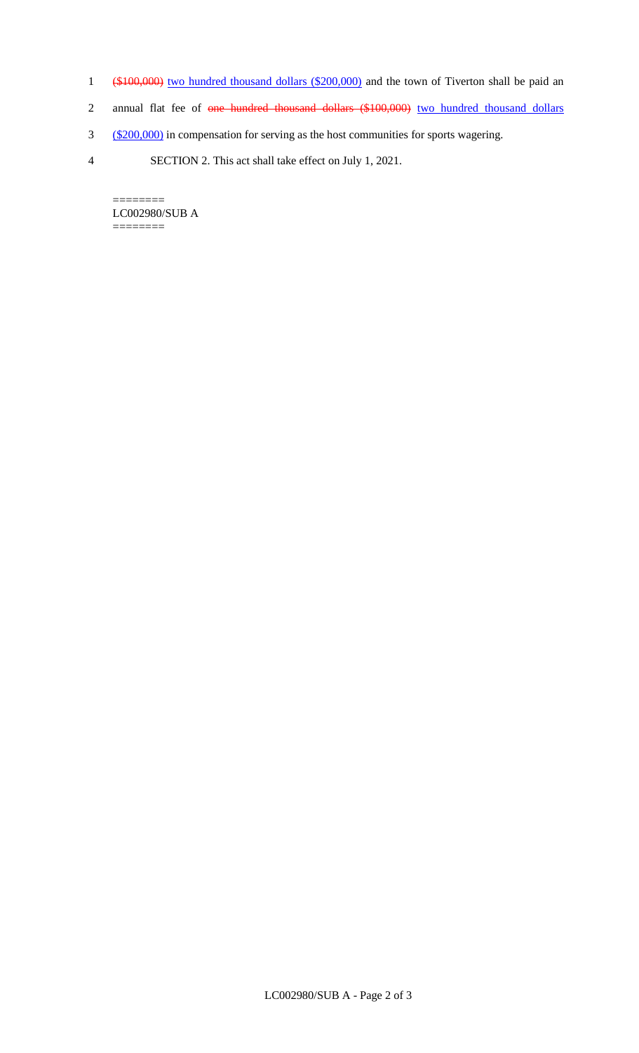- 1 (\$100,000) two hundred thousand dollars (\$200,000) and the town of Tiverton shall be paid an
- 2 annual flat fee of one hundred thousand dollars (\$100,000) two hundred thousand dollars
- 3 (\$200,000) in compensation for serving as the host communities for sports wagering.
- 4 SECTION 2. This act shall take effect on July 1, 2021.

======== LC002980/SUB A  $=$